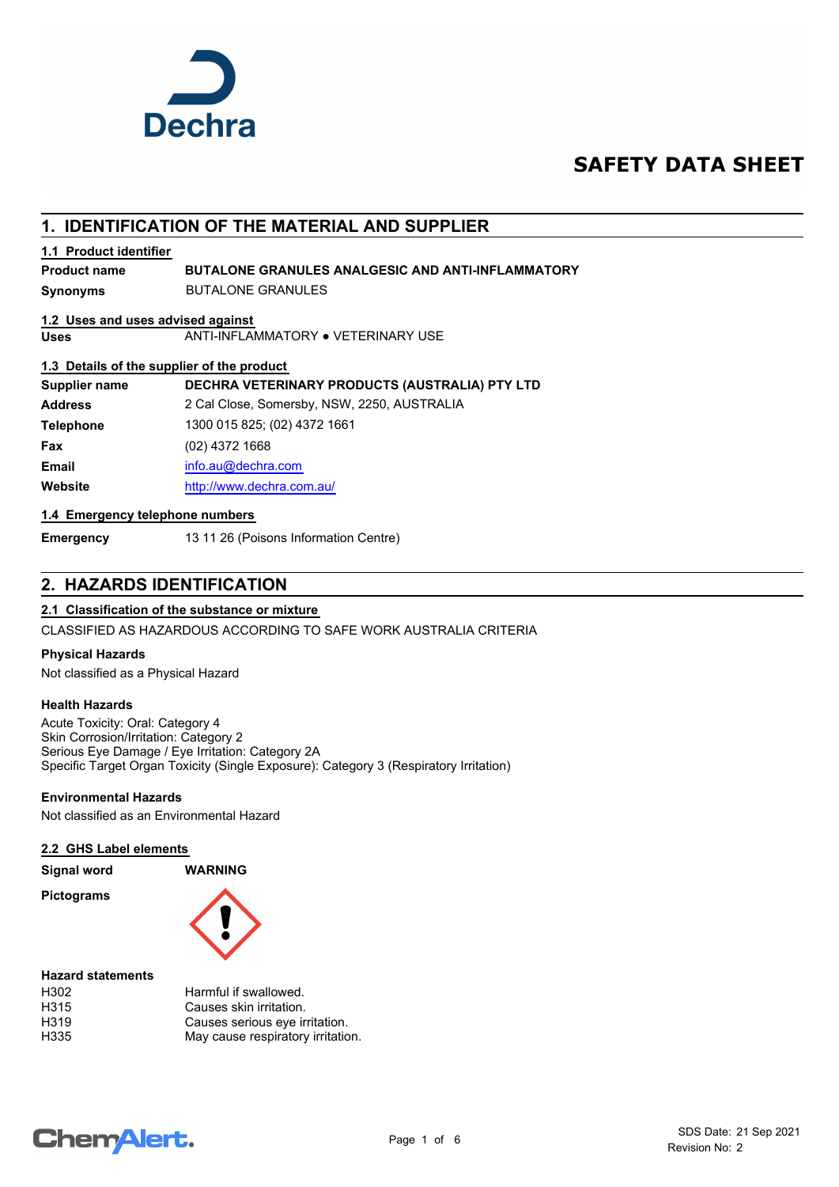

# **SAFETY DATA SHEET**

# **1. IDENTIFICATION OF THE MATERIAL AND SUPPLIER**

## **1.1 Product identifier**

**Product name BUTALONE GRANULES ANALGESIC AND ANTI-INFLAMMATORY**

**Synonyms** BUTALONE GRANULES

#### **1.2 Uses and uses advised against**

**Uses** ANTI-INFLAMMATORY ● VETERINARY USE

## **1.3 Details of the supplier of the product**

| <b>Supplier name</b> | DECHRA VETERINARY PRODUCTS (AUSTRALIA) PTY LTD |
|----------------------|------------------------------------------------|
| <b>Address</b>       | 2 Cal Close, Somersby, NSW, 2250, AUSTRALIA    |
| <b>Telephone</b>     | 1300 015 825; (02) 4372 1661                   |
| Fax                  | $(02)$ 4372 1668                               |
| <b>Email</b>         | info.au@dechra.com                             |
| Website              | http://www.dechra.com.au/                      |
|                      |                                                |

## **1.4 Emergency telephone numbers**

**Emergency** 13 11 26 (Poisons Information Centre)

# **2. HAZARDS IDENTIFICATION**

## **2.1 Classification of the substance or mixture**

CLASSIFIED AS HAZARDOUS ACCORDING TO SAFE WORK AUSTRALIA CRITERIA

## **Physical Hazards**

Not classified as a Physical Hazard

#### **Health Hazards**

Acute Toxicity: Oral: Category 4 Skin Corrosion/Irritation: Category 2 Serious Eye Damage / Eye Irritation: Category 2A Specific Target Organ Toxicity (Single Exposure): Category 3 (Respiratory Irritation)

#### **Environmental Hazards**

Not classified as an Environmental Hazard

#### **2.2 GHS Label elements**

| Signal word              | <b>WARNING</b> |
|--------------------------|----------------|
| <b>Pictograms</b>        |                |
| <b>Hazard statements</b> |                |

| H302 | Harmful if swallowed.             |
|------|-----------------------------------|
| H315 | Causes skin irritation.           |
| H319 | Causes serious eye irritation.    |
| H335 | May cause respiratory irritation. |

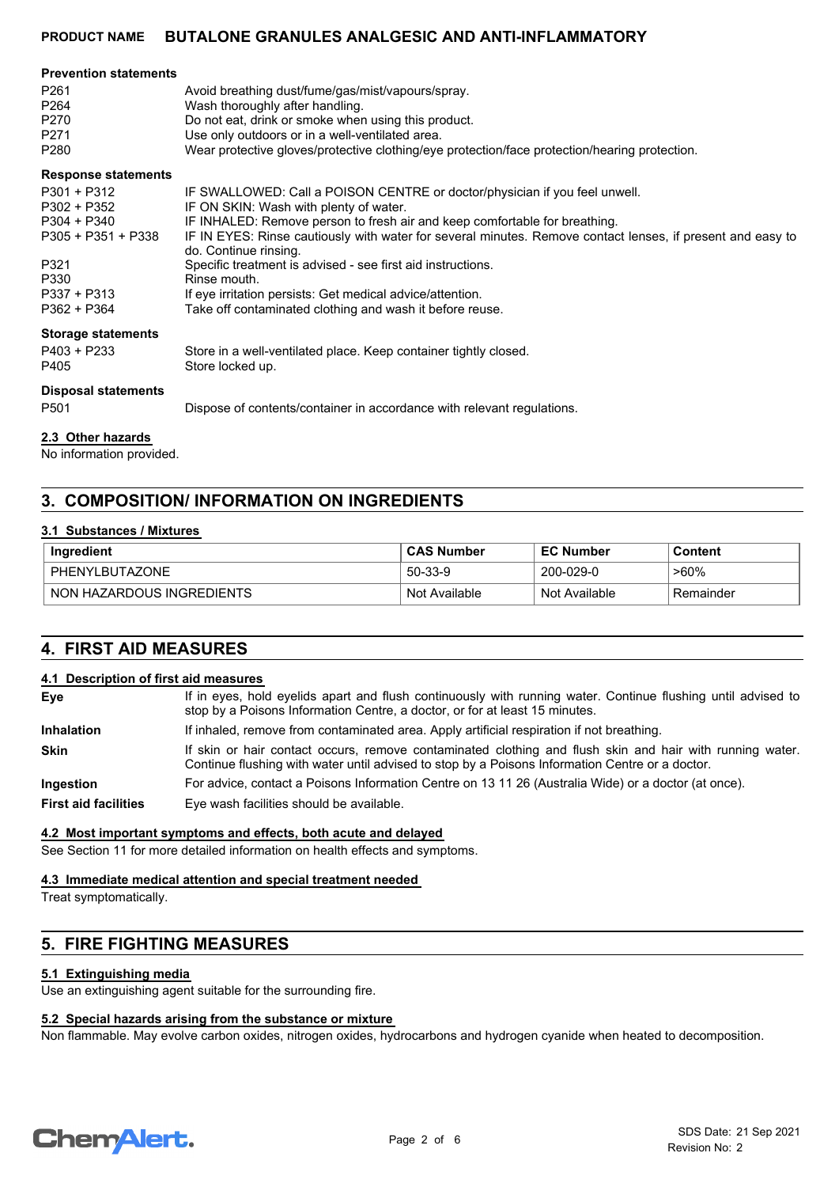| <b>Prevention statements</b> |                                                                                                                                     |
|------------------------------|-------------------------------------------------------------------------------------------------------------------------------------|
| P <sub>261</sub>             | Avoid breathing dust/fume/gas/mist/vapours/spray.                                                                                   |
| P <sub>264</sub>             | Wash thoroughly after handling.                                                                                                     |
| P270                         | Do not eat, drink or smoke when using this product.                                                                                 |
| P <sub>271</sub>             | Use only outdoors or in a well-ventilated area.                                                                                     |
| P280                         | Wear protective gloves/protective clothing/eye protection/face protection/hearing protection.                                       |
| <b>Response statements</b>   |                                                                                                                                     |
| $P301 + P312$                | IF SWALLOWED: Call a POISON CENTRE or doctor/physician if you feel unwell.                                                          |
| P302 + P352                  | IF ON SKIN: Wash with plenty of water.                                                                                              |
| P304 + P340                  | IF INHALED: Remove person to fresh air and keep comfortable for breathing.                                                          |
| $P305 + P351 + P338$         | IF IN EYES: Rinse cautiously with water for several minutes. Remove contact lenses, if present and easy to<br>do. Continue rinsing. |
| P321                         | Specific treatment is advised - see first aid instructions.                                                                         |
| P330                         | Rinse mouth.                                                                                                                        |
| $P337 + P313$                | If eye irritation persists: Get medical advice/attention.                                                                           |
| P362 + P364                  | Take off contaminated clothing and wash it before reuse.                                                                            |
| <b>Storage statements</b>    |                                                                                                                                     |
| $P403 + P233$                | Store in a well-ventilated place. Keep container tightly closed.                                                                    |
| P405                         | Store locked up.                                                                                                                    |
| <b>Disposal statements</b>   |                                                                                                                                     |
| P <sub>501</sub>             | Dispose of contents/container in accordance with relevant regulations.                                                              |

#### **2.3 Other hazards**

No information provided.

# **3. COMPOSITION/ INFORMATION ON INGREDIENTS**

## **3.1 Substances / Mixtures**

| Ingredient                | <b>CAS Number</b> | <b>EC Number</b> | Content   |
|---------------------------|-------------------|------------------|-----------|
| PHENYLBUTAZONE            | 50-33-9           | 200-029-0        | $>60\%$   |
| NON HAZARDOUS INGREDIENTS | Not Available     | Not Available    | Remainder |

# **4. FIRST AID MEASURES**

#### **4.1 Description of first aid measures**

| Eye                         | If in eyes, hold eyelids apart and flush continuously with running water. Continue flushing until advised to<br>stop by a Poisons Information Centre, a doctor, or for at least 15 minutes.                 |  |
|-----------------------------|-------------------------------------------------------------------------------------------------------------------------------------------------------------------------------------------------------------|--|
| <b>Inhalation</b>           | If inhaled, remove from contaminated area. Apply artificial respiration if not breathing.                                                                                                                   |  |
| <b>Skin</b>                 | If skin or hair contact occurs, remove contaminated clothing and flush skin and hair with running water.<br>Continue flushing with water until advised to stop by a Poisons Information Centre or a doctor. |  |
| <b>Ingestion</b>            | For advice, contact a Poisons Information Centre on 13 11 26 (Australia Wide) or a doctor (at once).                                                                                                        |  |
| <b>First aid facilities</b> | Eye wash facilities should be available.                                                                                                                                                                    |  |

#### **4.2 Most important symptoms and effects, both acute and delayed**

See Section 11 for more detailed information on health effects and symptoms.

## **4.3 Immediate medical attention and special treatment needed**

Treat symptomatically.

# **5. FIRE FIGHTING MEASURES**

#### **5.1 Extinguishing media**

Use an extinguishing agent suitable for the surrounding fire.

#### **5.2 Special hazards arising from the substance or mixture**

Non flammable. May evolve carbon oxides, nitrogen oxides, hydrocarbons and hydrogen cyanide when heated to decomposition.

# **ChemAlert.**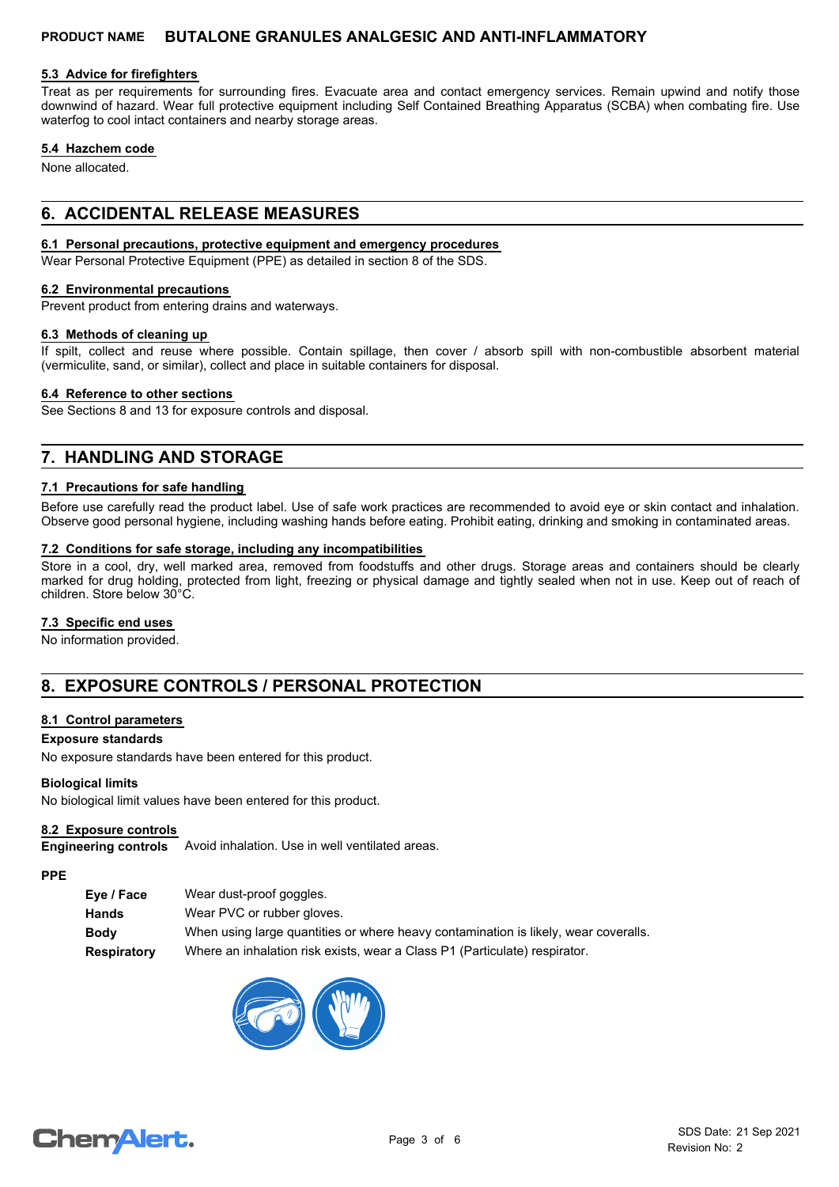## **5.3 Advice for firefighters**

Treat as per requirements for surrounding fires. Evacuate area and contact emergency services. Remain upwind and notify those downwind of hazard. Wear full protective equipment including Self Contained Breathing Apparatus (SCBA) when combating fire. Use waterfog to cool intact containers and nearby storage areas.

#### **5.4 Hazchem code**

None allocated.

# **6. ACCIDENTAL RELEASE MEASURES**

#### **6.1 Personal precautions, protective equipment and emergency procedures**

Wear Personal Protective Equipment (PPE) as detailed in section 8 of the SDS.

#### **6.2 Environmental precautions**

Prevent product from entering drains and waterways.

#### **6.3 Methods of cleaning up**

If spilt, collect and reuse where possible. Contain spillage, then cover / absorb spill with non-combustible absorbent material (vermiculite, sand, or similar), collect and place in suitable containers for disposal.

#### **6.4 Reference to other sections**

See Sections 8 and 13 for exposure controls and disposal.

# **7. HANDLING AND STORAGE**

#### **7.1 Precautions for safe handling**

Before use carefully read the product label. Use of safe work practices are recommended to avoid eye or skin contact and inhalation. Observe good personal hygiene, including washing hands before eating. Prohibit eating, drinking and smoking in contaminated areas.

#### **7.2 Conditions for safe storage, including any incompatibilities**

Store in a cool, dry, well marked area, removed from foodstuffs and other drugs. Storage areas and containers should be clearly marked for drug holding, protected from light, freezing or physical damage and tightly sealed when not in use. Keep out of reach of children. Store below 30°C.

#### **7.3 Specific end uses**

No information provided.

# **8. EXPOSURE CONTROLS / PERSONAL PROTECTION**

#### **8.1 Control parameters**

#### **Exposure standards**

No exposure standards have been entered for this product.

#### **Biological limits**

No biological limit values have been entered for this product.

#### **8.2 Exposure controls**

**Engineering controls** Avoid inhalation. Use in well ventilated areas.

## **PPE**

| Eye / Face  | Wear dust-proof goggles.                                                            |
|-------------|-------------------------------------------------------------------------------------|
| Hands       | Wear PVC or rubber gloves.                                                          |
| Bodv        | When using large quantities or where heavy contamination is likely, wear coveralls. |
| Respiratory | Where an inhalation risk exists, wear a Class P1 (Particulate) respirator.          |
|             |                                                                                     |



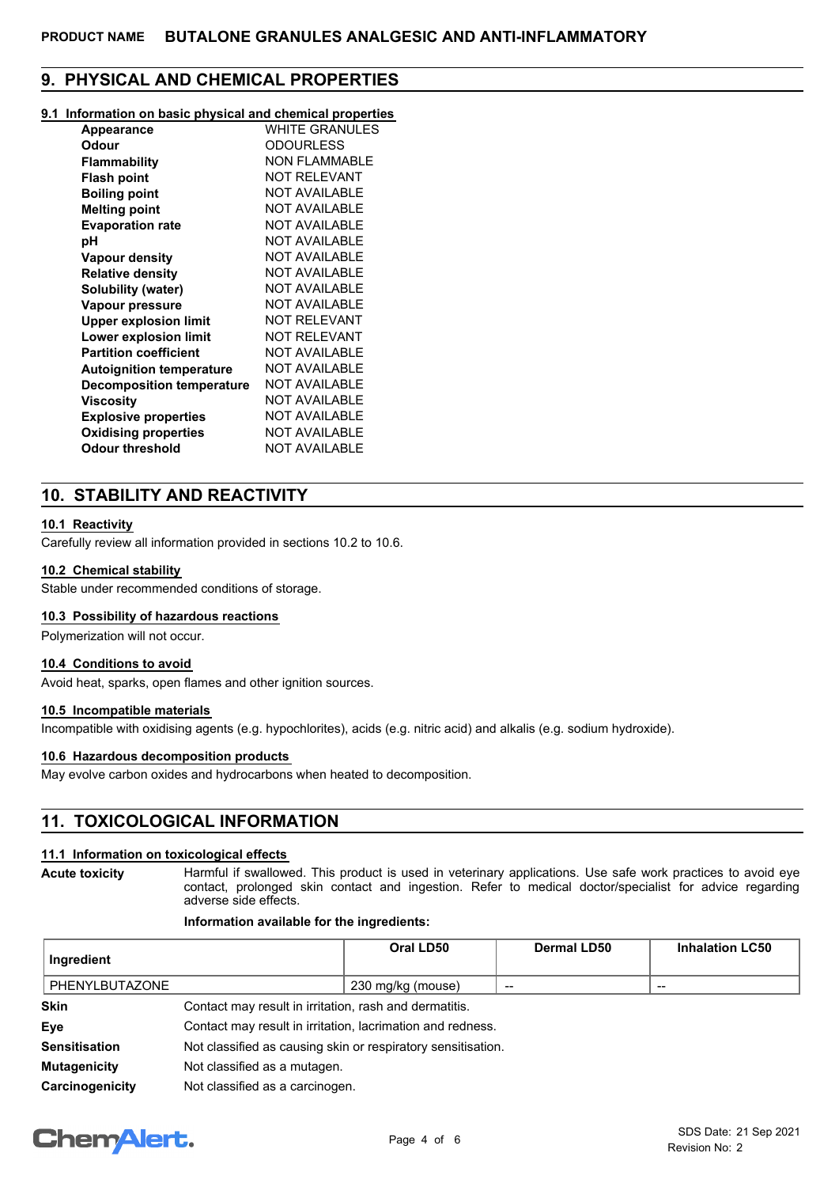# **9. PHYSICAL AND CHEMICAL PROPERTIES**

#### **9.1 Information on basic physical and chemical properties**

| <b>Appearance</b>                | <b>WHITE GRANULES</b>  |
|----------------------------------|------------------------|
| Odour                            | <b>ODOURLESS</b>       |
| <b>Flammability</b>              | <b>NON FI AMMABI F</b> |
| <b>Flash point</b>               | <b>NOT RELEVANT</b>    |
| <b>Boiling point</b>             | <b>NOT AVAILABLE</b>   |
| <b>Melting point</b>             | <b>NOT AVAILABLE</b>   |
| <b>Evaporation rate</b>          | <b>NOT AVAILABLE</b>   |
| рH                               | <b>NOT AVAILABLE</b>   |
| <b>Vapour density</b>            | <b>NOT AVAILABLE</b>   |
| <b>Relative density</b>          | <b>NOT AVAILABLE</b>   |
| Solubility (water)               | <b>NOT AVAILABLE</b>   |
| Vapour pressure                  | <b>NOT AVAILABLE</b>   |
| <b>Upper explosion limit</b>     | <b>NOT RELEVANT</b>    |
| Lower explosion limit            | NOT REI EVANT          |
| <b>Partition coefficient</b>     | <b>NOT AVAILABLE</b>   |
| <b>Autoignition temperature</b>  | <b>NOT AVAILABLE</b>   |
| <b>Decomposition temperature</b> | <b>NOT AVAILABLE</b>   |
| Viscosity                        | <b>NOT AVAILABLE</b>   |
| <b>Explosive properties</b>      | <b>NOT AVAILABLE</b>   |
| <b>Oxidising properties</b>      | <b>NOT AVAILABLE</b>   |
| Odour threshold                  | <b>NOT AVAILABLE</b>   |
|                                  |                        |

# **10. STABILITY AND REACTIVITY**

## **10.1 Reactivity**

Carefully review all information provided in sections 10.2 to 10.6.

#### **10.2 Chemical stability**

Stable under recommended conditions of storage.

#### **10.3 Possibility of hazardous reactions**

Polymerization will not occur.

#### **10.4 Conditions to avoid**

Avoid heat, sparks, open flames and other ignition sources.

#### **10.5 Incompatible materials**

Incompatible with oxidising agents (e.g. hypochlorites), acids (e.g. nitric acid) and alkalis (e.g. sodium hydroxide).

#### **10.6 Hazardous decomposition products**

May evolve carbon oxides and hydrocarbons when heated to decomposition.

# **11. TOXICOLOGICAL INFORMATION**

#### **11.1 Information on toxicological effects**

**Acute toxicity**

Harmful if swallowed. This product is used in veterinary applications. Use safe work practices to avoid eye contact, prolonged skin contact and ingestion. Refer to medical doctor/specialist for advice regarding adverse side effects.

#### **Information available for the ingredients:**

| Ingredient          |                                                              | Oral LD50         | <b>Dermal LD50</b> | <b>Inhalation LC50</b> |
|---------------------|--------------------------------------------------------------|-------------------|--------------------|------------------------|
| PHENYLBUTAZONE      |                                                              | 230 mg/kg (mouse) |                    | --                     |
| <b>Skin</b>         | Contact may result in irritation, rash and dermatitis.       |                   |                    |                        |
| Eye                 | Contact may result in irritation, lacrimation and redness.   |                   |                    |                        |
| Sensitisation       | Not classified as causing skin or respiratory sensitisation. |                   |                    |                        |
| <b>Mutagenicity</b> | Not classified as a mutagen.                                 |                   |                    |                        |
| Carcinogenicity     | Not classified as a carcinogen.                              |                   |                    |                        |

# **ChemAlert.**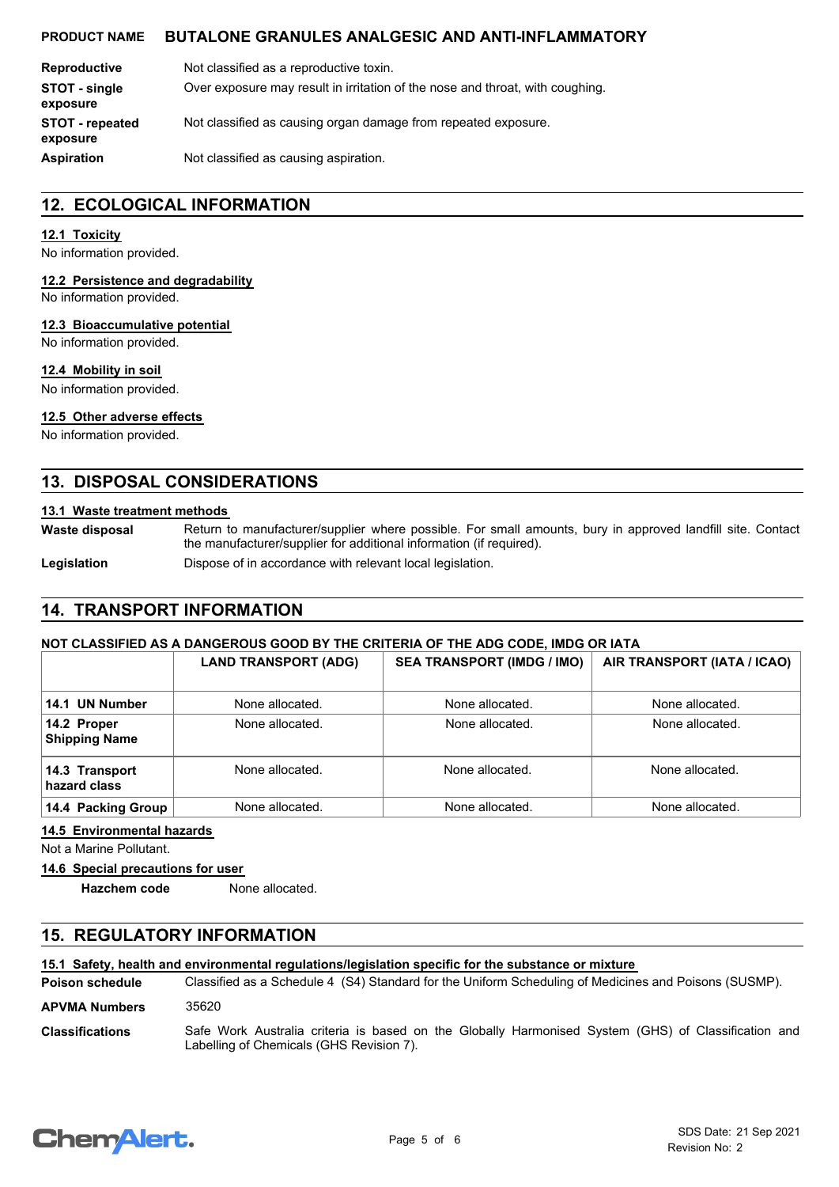| <b>Reproductive</b>                | Not classified as a reproductive toxin.                                       |
|------------------------------------|-------------------------------------------------------------------------------|
| STOT - single<br>exposure          | Over exposure may result in irritation of the nose and throat, with coughing. |
| <b>STOT</b> - repeated<br>exposure | Not classified as causing organ damage from repeated exposure.                |
| <b>Aspiration</b>                  | Not classified as causing aspiration.                                         |

# **12. ECOLOGICAL INFORMATION**

#### **12.1 Toxicity**

No information provided.

#### **12.2 Persistence and degradability**

No information provided.

#### **12.3 Bioaccumulative potential**

No information provided.

#### **12.4 Mobility in soil**

No information provided.

## **12.5 Other adverse effects**

No information provided.

# **13. DISPOSAL CONSIDERATIONS**

#### **13.1 Waste treatment methods**

- **Waste disposal**
- 

Return to manufacturer/supplier where possible. For small amounts, bury in approved landfill site. Contact the manufacturer/supplier for additional information (if required).

Legislation **Dispose of in accordance with relevant local legislation.** 

# **14. TRANSPORT INFORMATION**

## **NOT CLASSIFIED AS A DANGEROUS GOOD BY THE CRITERIA OF THE ADG CODE, IMDG OR IATA**

|                                     | <b>LAND TRANSPORT (ADG)</b> | <b>SEA TRANSPORT (IMDG / IMO)</b> | AIR TRANSPORT (IATA / ICAO) |
|-------------------------------------|-----------------------------|-----------------------------------|-----------------------------|
| 14.1 UN Number                      | None allocated.             | None allocated.                   | None allocated.             |
| 14.2 Proper<br><b>Shipping Name</b> | None allocated.             | None allocated.                   | None allocated.             |
| 14.3 Transport<br>hazard class      | None allocated.             | None allocated.                   | None allocated.             |
| 14.4 Packing Group                  | None allocated.             | None allocated.                   | None allocated.             |

## **14.5 Environmental hazards**

Not a Marine Pollutant.

#### **14.6 Special precautions for user**

**Hazchem code** None allocated.

# **15. REGULATORY INFORMATION**

**15.1 Safety, health and environmental regulations/legislation specific for the substance or mixture**

Classified as a Schedule 4 (S4) Standard for the Uniform Scheduling of Medicines and Poisons (SUSMP). **Poison schedule**

**APVMA Numbers** 35620

Safe Work Australia criteria is based on the Globally Harmonised System (GHS) of Classification and Labelling of Chemicals (GHS Revision 7). **Classifications**